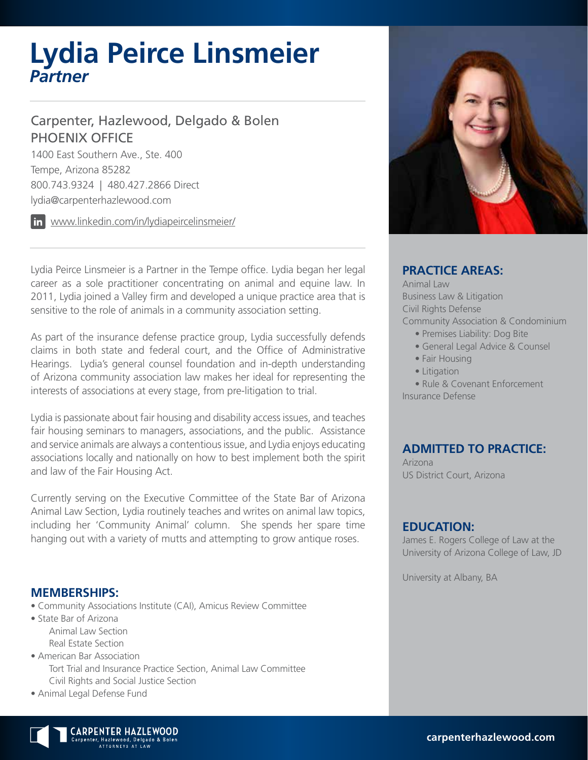# **Lydia Peirce Linsmeier** *Partner*

### Carpenter, Hazlewood, Delgado & Bolen PHOENIX OFFICE

1400 East Southern Ave., Ste. 400 Tempe, Arizona 85282 800.743.9324 | 480.427.2866 Direct lydia@carpenterhazlewood.com

www.linkedin.com/in/lydiapeircelinsmeier/

Lydia Peirce Linsmeier is a Partner in the Tempe office. Lydia began her legal career as a sole practitioner concentrating on animal and equine law. In 2011, Lydia joined a Valley firm and developed a unique practice area that is sensitive to the role of animals in a community association setting.

As part of the insurance defense practice group, Lydia successfully defends claims in both state and federal court, and the Office of Administrative Hearings. Lydia's general counsel foundation and in-depth understanding of Arizona community association law makes her ideal for representing the interests of associations at every stage, from pre-litigation to trial.

Lydia is passionate about fair housing and disability access issues, and teaches fair housing seminars to managers, associations, and the public. Assistance and service animals are always a contentious issue, and Lydia enjoys educating associations locally and nationally on how to best implement both the spirit and law of the Fair Housing Act.

Currently serving on the Executive Committee of the State Bar of Arizona Animal Law Section, Lydia routinely teaches and writes on animal law topics, including her 'Community Animal' column. She spends her spare time hanging out with a variety of mutts and attempting to grow antique roses.

#### **MEMBERSHIPS:**

- Community Associations Institute (CAI), Amicus Review Committee
- State Bar of Arizona Animal Law Section Real Estate Section
- American Bar Association Tort Trial and Insurance Practice Section, Animal Law Committee Civil Rights and Social Justice Section
- Animal Legal Defense Fund



#### **PRACTICE AREAS:**

Animal Law Business Law & Litigation Civil Rights Defense Community Association & Condominium • Premises Liability: Dog Bite

- General Legal Advice & Counsel
- Fair Housing
- Litigation

• Rule & Covenant Enforcement Insurance Defense

#### **ADMITTED TO PRACTICE:**

Arizona US District Court, Arizona

#### **EDUCATION:**

James E. Rogers College of Law at the University of Arizona College of Law, JD

University at Albany, BA